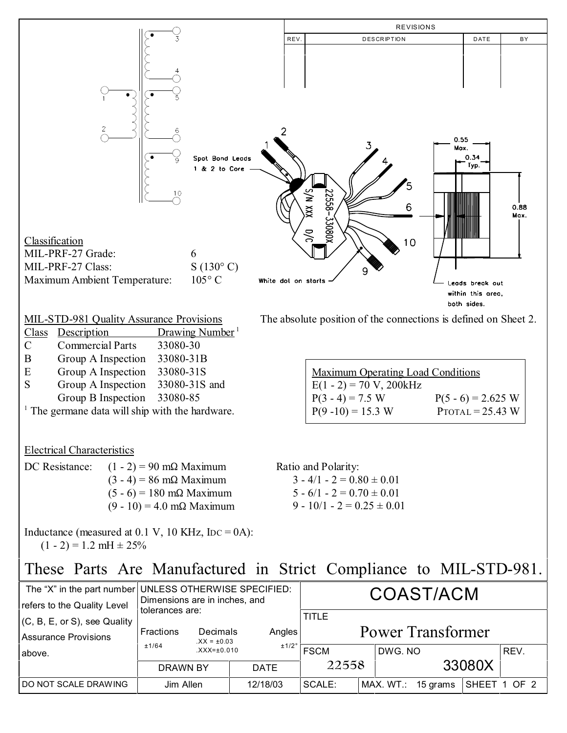

## Inductance (measured at  $0.1$  V,  $10$  KHz,  $IDC = OA$ ):  $(1 - 2) = 1.2$  mH  $\pm 25\%$

## These Parts Are Manufactured in Strict Compliance to MIL-STD-981.

| The "X" in the part number UNLESS OTHERWISE SPECIFIED:<br>refers to the Quality Level | Dimensions are in inches, and       |                             | COAST/ACM   |                                   |                       |         |              |      |
|---------------------------------------------------------------------------------------|-------------------------------------|-----------------------------|-------------|-----------------------------------|-----------------------|---------|--------------|------|
| $(C, B, E, or S)$ , see Quality<br>Assurance Provisions                               | tolerances are:<br><b>Fractions</b> | Decimals<br>$XX = \pm 0.03$ | Angles      | <b>TITLE</b><br>Power Transformer |                       |         |              |      |
| above.                                                                                | ±1/64                               | $XXX = \pm 0.010$           | ±1/2°       | <b>FSCM</b>                       |                       | DWG. NO |              | REV. |
|                                                                                       | <b>DRAWN BY</b>                     |                             | <b>DATE</b> | 22558                             |                       | 33080X  |              |      |
| I DO NOT SCALE DRAWING                                                                | Jim Allen                           |                             | 12/18/03    | SCALE:                            | 15 grams<br>MAX. WT.: |         | SHEET 1 OF 2 |      |